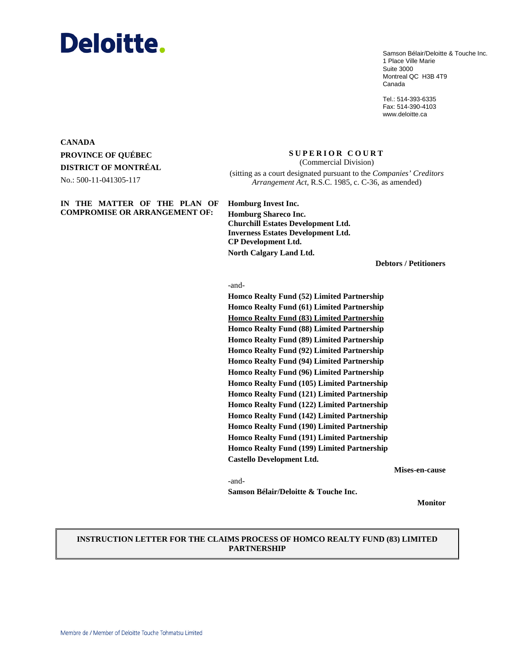# **Deloitte.**

Samson Bélair/Deloitte & Touche Inc. 1 Place Ville Marie Suite 3000 Montreal QC H3B 4T9 Canada

Tel.: 514-393-6335 Fax: 514-390-4103 www.deloitte.ca

# **CANADA PROVINCE OF QUÉBEC DISTRICT OF MONTRÉAL**

No.: 500-11-041305-117

# **IN THE MATTER OF THE PLAN OF COMPROMISE OR ARRANGEMENT OF:**

**SUPERIOR COURT**  (Commercial Division)

(sitting as a court designated pursuant to the *Companies' Creditors Arrangement Act*, R.S.C. 1985, c. C-36, as amended)

**Homburg Invest Inc. Homburg Shareco Inc. Churchill Estates Development Ltd. Inverness Estates Development Ltd. CP Development Ltd. North Calgary Land Ltd.**

**Debtors / Petitioners**

#### -and-

**Homco Realty Fund (52) Limited Partnership Homco Realty Fund (61) Limited Partnership Homco Realty Fund (83) Limited Partnership Homco Realty Fund (88) Limited Partnership Homco Realty Fund (89) Limited Partnership Homco Realty Fund (92) Limited Partnership Homco Realty Fund (94) Limited Partnership Homco Realty Fund (96) Limited Partnership Homco Realty Fund (105) Limited Partnership Homco Realty Fund (121) Limited Partnership Homco Realty Fund (122) Limited Partnership Homco Realty Fund (142) Limited Partnership Homco Realty Fund (190) Limited Partnership Homco Realty Fund (191) Limited Partnership Homco Realty Fund (199) Limited Partnership Castello Development Ltd.**

**Mises-en-cause**

-and-

**Samson Bélair/Deloitte & Touche Inc.** 

**Monitor**

# **INSTRUCTION LETTER FOR THE CLAIMS PROCESS OF HOMCO REALTY FUND (83) LIMITED PARTNERSHIP**